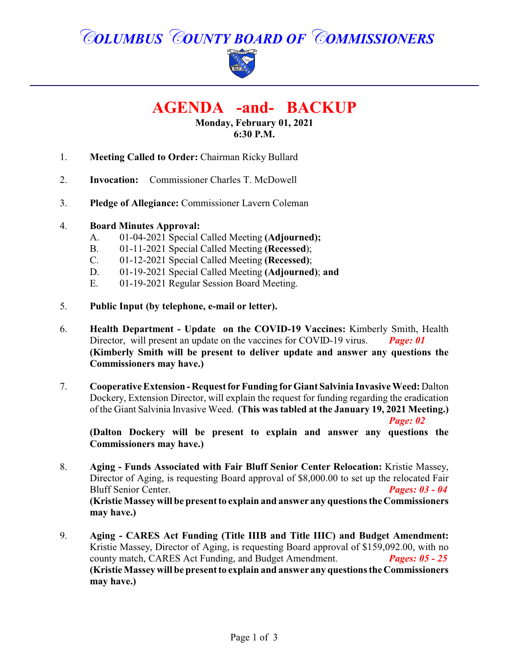# *COLUMBUS COUNTY BOARD OF COMMISSIONERS*



# **AGENDA -and- BACKUP**

**Monday, February 01, 2021 6:30 P.M.**

- 1. **Meeting Called to Order:** Chairman Ricky Bullard
- 2. **Invocation:** Commissioner Charles T. McDowell
- 3. **Pledge of Allegiance:** Commissioner Lavern Coleman

#### 4. **Board Minutes Approval:**

- A. 01-04-2021 Special Called Meeting **(Adjourned);**
- B. 01-11-2021 Special Called Meeting **(Recessed**);
- C. 01-12-2021 Special Called Meeting **(Recessed)**;
- D. 01-19-2021 Special Called Meeting **(Adjourned)**; **and**
- E. 01-19-2021 Regular Session Board Meeting.
- 5. **Public Input (by telephone, e-mail or letter).**
- 6. **Health Department Update on the COVID-19 Vaccines:** Kimberly Smith, Health Director, will present an update on the vaccines for COVID-19 virus. **Page: 01 (Kimberly Smith will be present to deliver update and answer any questions the Commissioners may have.)**
- 7. **Cooperative Extension Request for Funding for Giant Salvinia Invasive Weed:** Dalton Dockery, Extension Director, will explain the request for funding regarding the eradication of the Giant Salvinia Invasive Weed. **(This was tabled at the January 19, 2021 Meeting.)**

*Page: 02*

**(Dalton Dockery will be present to explain and answer any questions the Commissioners may have.)**

- 8. **Aging Funds Associated with Fair Bluff Senior Center Relocation:** Kristie Massey, Director of Aging, is requesting Board approval of \$8,000.00 to set up the relocated Fair Bluff Senior Center. *Pages: 03 - 04* **(Kristie Massey will be present to explain and answer any questions the Commissioners may have.)**
- 9. **Aging CARES Act Funding (Title IIIB and Title IIIC) and Budget Amendment:** Kristie Massey, Director of Aging, is requesting Board approval of \$159,092.00, with no county match, CARES Act Funding, and Budget Amendment. *Pages: 05 - 25* **(Kristie Massey will be present to explain and answer any questions the Commissioners may have.)**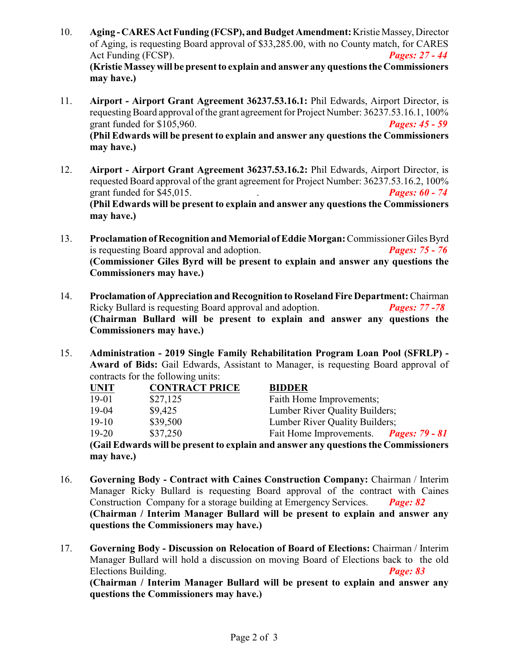- 10. **Aging -CARES Act Funding (FCSP), and Budget Amendment:**Kristie Massey, Director of Aging, is requesting Board approval of \$33,285.00, with no County match, for CARES Act Funding (FCSP). *Pages: 27 - 44* **(Kristie Massey will be present to explain and answer any questions the Commissioners may have.)**
- 11. **Airport - Airport Grant Agreement 36237.53.16.1:** Phil Edwards, Airport Director, is requesting Board approval of the grant agreement for Project Number: 36237.53.16.1, 100% grant funded for \$105,960. *Pages: 45 - 59* **(Phil Edwards will be present to explain and answer any questions the Commissioners may have.)**
- 12. **Airport - Airport Grant Agreement 36237.53.16.2:** Phil Edwards, Airport Director, is requested Board approval of the grant agreement for Project Number: 36237.53.16.2, 100% grant funded for \$45,015. . *Pages: 60 - 74* **(Phil Edwards will be present to explain and answer any questions the Commissioners may have.)**
- 13. **Proclamation of Recognition andMemorial ofEddie Morgan:**Commissioner Giles Byrd is requesting Board approval and adoption. *Pages: 75 - 76* **(Commissioner Giles Byrd will be present to explain and answer any questions the Commissioners may have.)**
- 14. **Proclamation of Appreciation and Recognition to Roseland Fire Department:**Chairman Ricky Bullard is requesting Board approval and adoption. *Pages: 77 -78* **(Chairman Bullard will be present to explain and answer any questions the Commissioners may have.)**
- 15. **Administration 2019 Single Family Rehabilitation Program Loan Pool (SFRLP) - Award of Bids:** Gail Edwards, Assistant to Manager, is requesting Board approval of contracts for the following units:

| <b>UNIT</b> | <b>CONTRACT PRICE</b> | <b>BIDDER</b>                                                                       |  |  |
|-------------|-----------------------|-------------------------------------------------------------------------------------|--|--|
| $19-01$     | \$27,125              | Faith Home Improvements;                                                            |  |  |
| 19-04       | \$9,425               | Lumber River Quality Builders;                                                      |  |  |
| $19-10$     | \$39,500              | Lumber River Quality Builders;                                                      |  |  |
| $19-20$     | \$37,250              | Fait Home Improvements. Pages: 79 - 81                                              |  |  |
|             |                       | (Gail Edwards will be present to explain and answer any questions the Commissioners |  |  |
| may have.)  |                       |                                                                                     |  |  |

- 16. **Governing Body Contract with Caines Construction Company:** Chairman / Interim Manager Ricky Bullard is requesting Board approval of the contract with Caines Construction Company for a storage building at Emergency Services. *Page: 82* **(Chairman / Interim Manager Bullard will be present to explain and answer any questions the Commissioners may have.)**
- 17. **Governing Body Discussion on Relocation of Board of Elections:** Chairman / Interim Manager Bullard will hold a discussion on moving Board of Elections back to the old Elections Building. *Page: 83* **(Chairman / Interim Manager Bullard will be present to explain and answer any questions the Commissioners may have.)**